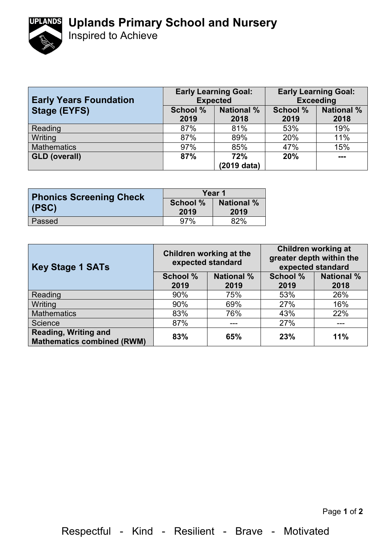## **Uplands Primary School and Nursery**



Inspired to Achieve

| <b>Early Years Foundation</b> | <b>Early Learning Goal:</b><br><b>Expected</b> |                           | <b>Early Learning Goal:</b><br><b>Exceeding</b> |                           |
|-------------------------------|------------------------------------------------|---------------------------|-------------------------------------------------|---------------------------|
| <b>Stage (EYFS)</b>           | <b>School %</b><br>2019                        | <b>National %</b><br>2018 | <b>School %</b><br>2019                         | <b>National %</b><br>2018 |
| Reading                       | 87%                                            | 81%                       | 53%                                             | 19%                       |
| Writing                       | 87%                                            | 89%                       | 20%                                             | 11%                       |
| <b>Mathematics</b>            | 97%                                            | 85%                       | 47%                                             | 15%                       |
| <b>GLD (overall)</b>          | 87%                                            | 72%                       | 20%                                             | $- - -$                   |
|                               |                                                | (2019 data)               |                                                 |                           |

| <b>Phonics Screening Check</b> | Year 1          |                   |  |
|--------------------------------|-----------------|-------------------|--|
|                                | <b>School %</b> | <b>National %</b> |  |
| (PSC)                          | 2019            | 2019              |  |
| Passed                         | 97%             | 82%               |  |

| <b>Key Stage 1 SATs</b>                                   | Children working at the<br>expected standard |                   | <b>Children working at</b><br>greater depth within the<br>expected standard |                   |
|-----------------------------------------------------------|----------------------------------------------|-------------------|-----------------------------------------------------------------------------|-------------------|
|                                                           | <b>School %</b>                              | <b>National %</b> | School %                                                                    | <b>National %</b> |
|                                                           | 2019                                         | 2019              | 2019                                                                        | 2018              |
| Reading                                                   | 90%                                          | 75%               | 53%                                                                         | 26%               |
| Writing                                                   | 90%                                          | 69%               | 27%                                                                         | 16%               |
| <b>Mathematics</b>                                        | 83%                                          | 76%               | 43%                                                                         | 22%               |
| Science                                                   | 87%                                          | ---               | 27%                                                                         | ---               |
| Reading, Writing and<br><b>Mathematics combined (RWM)</b> | 83%                                          | 65%               | 23%                                                                         | 11%               |